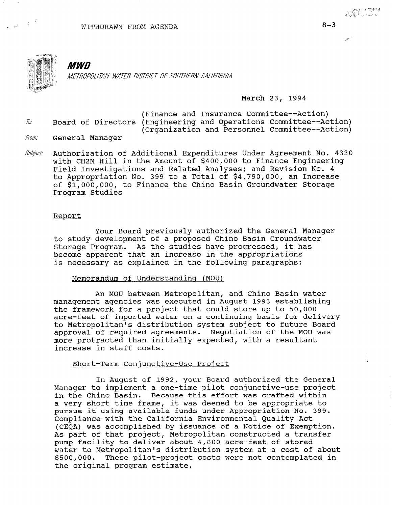

 $\gamma_{\rm B} = 0$ 

# *MWD*

METROPOLITAN WATER DISTRICT OF SOUTHERN CALIFORNIA

### March 23, 1994

- (Finance and Insurance Committee--Action)  $\bar{h}$ : Board of Directors (Engineering and Operations Committee--Action) (Organization and Personnel Committee--Action)<br>*From*: General Manager
- 
- Subject: Authorization of Additional Expenditures Under Agreement No. 4330 with CH2M Hill in the Amount of \$400,000 to Finance Engineering Field Investigations and Related Analyses; and Revision No. 4 to Appropriation No. 399 to a Total of \$4,790,000, an Increase of \$1,000,000, to Finance the Chino Basin Groundwater Storage Program Studies

#### Report

Your Board previously authorized the General Manager to study development of a proposed Chino Basin Groundwater Storage Program. As the studies have progressed, it has become apparent that an increase in the.appropriations is necessary as explained in the following paragraphs:

#### Memorandum of Understanding (MOU)

An MOU between Metropolitan, and Chino Basin water management agencies was executed in August 1993 establishing the framework for a project that could store up to 50,000 acre-feet of imported water on a continuing basis for delivery to Metropolitan's distribution system subject to future Board approval of required agreements. Negotiation of the MOU was more protracted than initially expected, with a resultant increase in staff costs.

### Short-Term Conjunctive-Use Project

In August of 1992, your Board authorized the General III August OI 1994, your board additorized the Gener manager to implement a one-time pliot conjunctive-use pro in the Chino Basin. Because this effort was crafted within a very short time frame, it was deemed to be appropriate to pursue it using available funds under Appropriation No. 399. Compliance with the California Environmental Quality Act (CEOA) was accomplished by issuance of a Notice of Exemption. As part of that project, Metropolitan constructed a transfer pump facility to deliver about 4,800 acre-feet of stored water to Metropolitan's distribution system at a cost of about<br>\$500,000. These pilot-project costs were not contemplated in the original program estimate.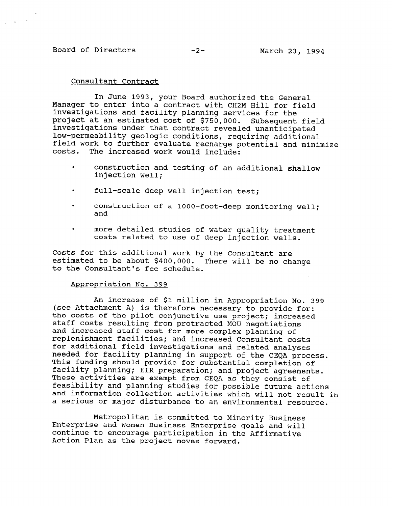## Board of Directors -2- March 23, 1994

### Consultant Contract

In June 1993, your Board authorized the General Manager to enter into a contract with CH2M Hill for field investigations and facility planning services for the project at an estimated cost of \$750,000. Subsequent field investigations under that contract revealed unanticipated low-permeability geologic conditions, requiring additional field work to further evaluate recharge potential and minimize costs. The increased work would include:

- . construction and testing of an additional shallow injection well;
- . full-scale deep well injection test;
- . construction of a lOOO-foot-deep monitoring well; and
- . more detailed studies of water quality treatment costs related to use of deep injection wells.

Costs for this additional work by the Consultant are estimated to be about \$400,000. There will be no change to the Consultant's fee schedule.

#### Appropriation No. 399

An increase of \$1 million in Appropriation No. 399 (see Attachment A) is therefore necessary to provide for: the costs of the pilot conjunctive-use project; increased che costs of the prior conjunctive-use project; incorrected models staff costs resulting from protracted MOU negotiations<br>and increased staff cost for more complex planning of replenishment facilities; and increased Consultant costs for additional field investigations and related analyses needed for facility planning in support of the CEQA process. needed for facility planning in support of the CEQA process. This funding should provide for substantial completion of facility planning; EIR preparation; and project agreements. These activities are exempt from CEQA as they consist of feasibility and planning studies for possible future actions and information collection activities which will not result in<br>a serious or major disturbance to an environmental resource.

 $M_{\rm{eff}}$  is computed to  $M_{\rm{eff}}$  is computed to  $M_{\rm{eff}}$  is computed to  $M_{\rm{eff}}$ metropolitan is committed to Minority Busines Enterprise and Women Business Enterprise goals and will continue to encourage participation in the Affirmative<br>Action Plan as the project moves forward.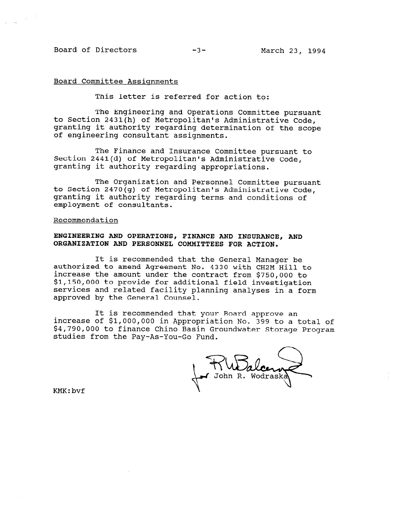### Board of Directors -3- March 23, 1994

 $\gamma_{\rm 2}$  ,  $\beta$ 

#### Board Committee Assignments

This letter is referred for action to:

The Engineering and Operations Committee pursuant to Section 2431(h) of Metropolitan's Administrative Code, granting it authority regarding determination of the scope of engineering consultant assignments.

The Finance and Insurance Committee pursuant to Section 2441(d) of Metropolitan's Administrative Code, granting it authority regarding appropriations.

The Organization and Personnel Committee pursuant to Section 2470(g) of Metropolitan's Administrative Code, granting it authority regarding terms and conditions of employment of consultants.

#### Recommendation

### ENGINEERING AND OPERATIONS, FINANCE AND INSURANCE, AND ORGANIZATION AND PERSONNEL COMMITTEES FOR ACTION.

It is recommended that the General Manager be authorized to amend Agreement No. 4330 with CH2M Hill to increase the amount under the contract from \$750,000 to \$1,150,000 to provide for additional field investigation services and related facility planning analyses in a form approved by the General Counsel.

It is recommended that your Board approve an increase of \$l,OOO,OOO in Appropriation No. 399 to a total of \$4,790,000 to finance Chino Basin Groundwater Storage Program studies from the Pay-As-You-Go Fund.

KMK:bvf